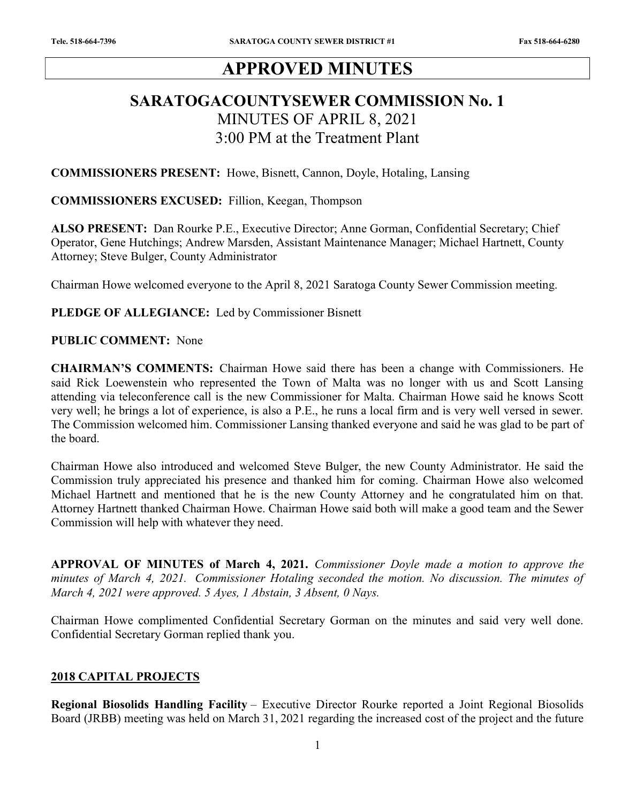# APPROVED MINUTES

# SARATOGACOUNTYSEWER COMMISSION No. 1 MINUTES OF APRIL 8, 2021 3:00 PM at the Treatment Plant

COMMISSIONERS PRESENT: Howe, Bisnett, Cannon, Doyle, Hotaling, Lansing

#### COMMISSIONERS EXCUSED: Fillion, Keegan, Thompson

ALSO PRESENT: Dan Rourke P.E., Executive Director; Anne Gorman, Confidential Secretary; Chief Operator, Gene Hutchings; Andrew Marsden, Assistant Maintenance Manager; Michael Hartnett, County Attorney; Steve Bulger, County Administrator

Chairman Howe welcomed everyone to the April 8, 2021 Saratoga County Sewer Commission meeting.

#### PLEDGE OF ALLEGIANCE: Led by Commissioner Bisnett

#### PUBLIC COMMENT: None

CHAIRMAN'S COMMENTS: Chairman Howe said there has been a change with Commissioners. He said Rick Loewenstein who represented the Town of Malta was no longer with us and Scott Lansing attending via teleconference call is the new Commissioner for Malta. Chairman Howe said he knows Scott very well; he brings a lot of experience, is also a P.E., he runs a local firm and is very well versed in sewer. The Commission welcomed him. Commissioner Lansing thanked everyone and said he was glad to be part of the board.

Chairman Howe also introduced and welcomed Steve Bulger, the new County Administrator. He said the Commission truly appreciated his presence and thanked him for coming. Chairman Howe also welcomed Michael Hartnett and mentioned that he is the new County Attorney and he congratulated him on that. Attorney Hartnett thanked Chairman Howe. Chairman Howe said both will make a good team and the Sewer Commission will help with whatever they need.

APPROVAL OF MINUTES of March 4, 2021. Commissioner Doyle made a motion to approve the minutes of March 4, 2021. Commissioner Hotaling seconded the motion. No discussion. The minutes of March 4, 2021 were approved. 5 Ayes, 1 Abstain, 3 Absent, 0 Nays.

Chairman Howe complimented Confidential Secretary Gorman on the minutes and said very well done. Confidential Secretary Gorman replied thank you.

#### 2018 CAPITAL PROJECTS

Regional Biosolids Handling Facility – Executive Director Rourke reported a Joint Regional Biosolids Board (JRBB) meeting was held on March 31, 2021 regarding the increased cost of the project and the future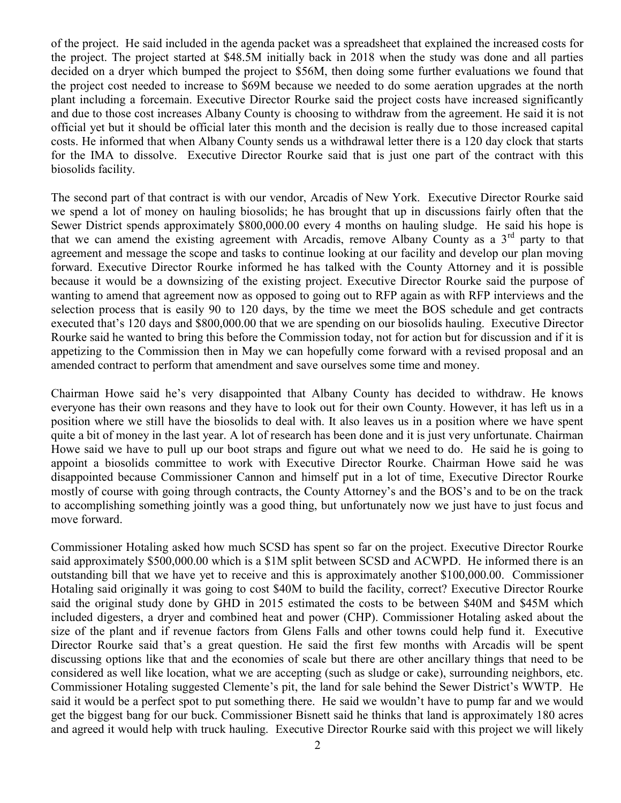of the project. He said included in the agenda packet was a spreadsheet that explained the increased costs for the project. The project started at \$48.5M initially back in 2018 when the study was done and all parties decided on a dryer which bumped the project to \$56M, then doing some further evaluations we found that the project cost needed to increase to \$69M because we needed to do some aeration upgrades at the north plant including a forcemain. Executive Director Rourke said the project costs have increased significantly and due to those cost increases Albany County is choosing to withdraw from the agreement. He said it is not official yet but it should be official later this month and the decision is really due to those increased capital costs. He informed that when Albany County sends us a withdrawal letter there is a 120 day clock that starts for the IMA to dissolve. Executive Director Rourke said that is just one part of the contract with this biosolids facility.

The second part of that contract is with our vendor, Arcadis of New York. Executive Director Rourke said we spend a lot of money on hauling biosolids; he has brought that up in discussions fairly often that the Sewer District spends approximately \$800,000.00 every 4 months on hauling sludge. He said his hope is that we can amend the existing agreement with Arcadis, remove Albany County as a  $3<sup>rd</sup>$  party to that agreement and message the scope and tasks to continue looking at our facility and develop our plan moving forward. Executive Director Rourke informed he has talked with the County Attorney and it is possible because it would be a downsizing of the existing project. Executive Director Rourke said the purpose of wanting to amend that agreement now as opposed to going out to RFP again as with RFP interviews and the selection process that is easily 90 to 120 days, by the time we meet the BOS schedule and get contracts executed that's 120 days and \$800,000.00 that we are spending on our biosolids hauling. Executive Director Rourke said he wanted to bring this before the Commission today, not for action but for discussion and if it is appetizing to the Commission then in May we can hopefully come forward with a revised proposal and an amended contract to perform that amendment and save ourselves some time and money.

Chairman Howe said he's very disappointed that Albany County has decided to withdraw. He knows everyone has their own reasons and they have to look out for their own County. However, it has left us in a position where we still have the biosolids to deal with. It also leaves us in a position where we have spent quite a bit of money in the last year. A lot of research has been done and it is just very unfortunate. Chairman Howe said we have to pull up our boot straps and figure out what we need to do. He said he is going to appoint a biosolids committee to work with Executive Director Rourke. Chairman Howe said he was disappointed because Commissioner Cannon and himself put in a lot of time, Executive Director Rourke mostly of course with going through contracts, the County Attorney's and the BOS's and to be on the track to accomplishing something jointly was a good thing, but unfortunately now we just have to just focus and move forward.

Commissioner Hotaling asked how much SCSD has spent so far on the project. Executive Director Rourke said approximately \$500,000.00 which is a \$1M split between SCSD and ACWPD. He informed there is an outstanding bill that we have yet to receive and this is approximately another \$100,000.00. Commissioner Hotaling said originally it was going to cost \$40M to build the facility, correct? Executive Director Rourke said the original study done by GHD in 2015 estimated the costs to be between \$40M and \$45M which included digesters, a dryer and combined heat and power (CHP). Commissioner Hotaling asked about the size of the plant and if revenue factors from Glens Falls and other towns could help fund it. Executive Director Rourke said that's a great question. He said the first few months with Arcadis will be spent discussing options like that and the economies of scale but there are other ancillary things that need to be considered as well like location, what we are accepting (such as sludge or cake), surrounding neighbors, etc. Commissioner Hotaling suggested Clemente's pit, the land for sale behind the Sewer District's WWTP. He said it would be a perfect spot to put something there. He said we wouldn't have to pump far and we would get the biggest bang for our buck. Commissioner Bisnett said he thinks that land is approximately 180 acres and agreed it would help with truck hauling. Executive Director Rourke said with this project we will likely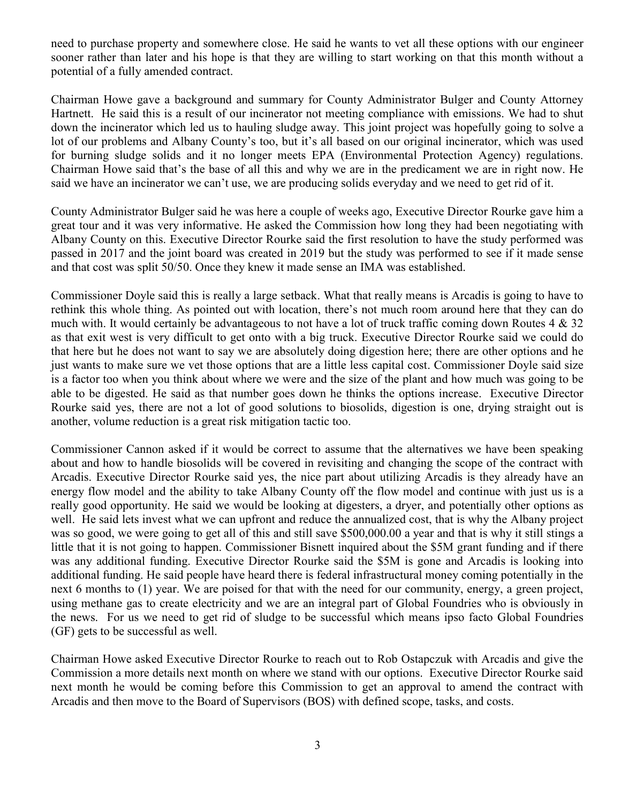need to purchase property and somewhere close. He said he wants to vet all these options with our engineer sooner rather than later and his hope is that they are willing to start working on that this month without a potential of a fully amended contract.

Chairman Howe gave a background and summary for County Administrator Bulger and County Attorney Hartnett. He said this is a result of our incinerator not meeting compliance with emissions. We had to shut down the incinerator which led us to hauling sludge away. This joint project was hopefully going to solve a lot of our problems and Albany County's too, but it's all based on our original incinerator, which was used for burning sludge solids and it no longer meets EPA (Environmental Protection Agency) regulations. Chairman Howe said that's the base of all this and why we are in the predicament we are in right now. He said we have an incinerator we can't use, we are producing solids everyday and we need to get rid of it.

County Administrator Bulger said he was here a couple of weeks ago, Executive Director Rourke gave him a great tour and it was very informative. He asked the Commission how long they had been negotiating with Albany County on this. Executive Director Rourke said the first resolution to have the study performed was passed in 2017 and the joint board was created in 2019 but the study was performed to see if it made sense and that cost was split 50/50. Once they knew it made sense an IMA was established.

Commissioner Doyle said this is really a large setback. What that really means is Arcadis is going to have to rethink this whole thing. As pointed out with location, there's not much room around here that they can do much with. It would certainly be advantageous to not have a lot of truck traffic coming down Routes 4 & 32 as that exit west is very difficult to get onto with a big truck. Executive Director Rourke said we could do that here but he does not want to say we are absolutely doing digestion here; there are other options and he just wants to make sure we vet those options that are a little less capital cost. Commissioner Doyle said size is a factor too when you think about where we were and the size of the plant and how much was going to be able to be digested. He said as that number goes down he thinks the options increase. Executive Director Rourke said yes, there are not a lot of good solutions to biosolids, digestion is one, drying straight out is another, volume reduction is a great risk mitigation tactic too.

Commissioner Cannon asked if it would be correct to assume that the alternatives we have been speaking about and how to handle biosolids will be covered in revisiting and changing the scope of the contract with Arcadis. Executive Director Rourke said yes, the nice part about utilizing Arcadis is they already have an energy flow model and the ability to take Albany County off the flow model and continue with just us is a really good opportunity. He said we would be looking at digesters, a dryer, and potentially other options as well. He said lets invest what we can upfront and reduce the annualized cost, that is why the Albany project was so good, we were going to get all of this and still save \$500,000.00 a year and that is why it still stings a little that it is not going to happen. Commissioner Bisnett inquired about the \$5M grant funding and if there was any additional funding. Executive Director Rourke said the \$5M is gone and Arcadis is looking into additional funding. He said people have heard there is federal infrastructural money coming potentially in the next 6 months to (1) year. We are poised for that with the need for our community, energy, a green project, using methane gas to create electricity and we are an integral part of Global Foundries who is obviously in the news. For us we need to get rid of sludge to be successful which means ipso facto Global Foundries (GF) gets to be successful as well.

Chairman Howe asked Executive Director Rourke to reach out to Rob Ostapczuk with Arcadis and give the Commission a more details next month on where we stand with our options. Executive Director Rourke said next month he would be coming before this Commission to get an approval to amend the contract with Arcadis and then move to the Board of Supervisors (BOS) with defined scope, tasks, and costs.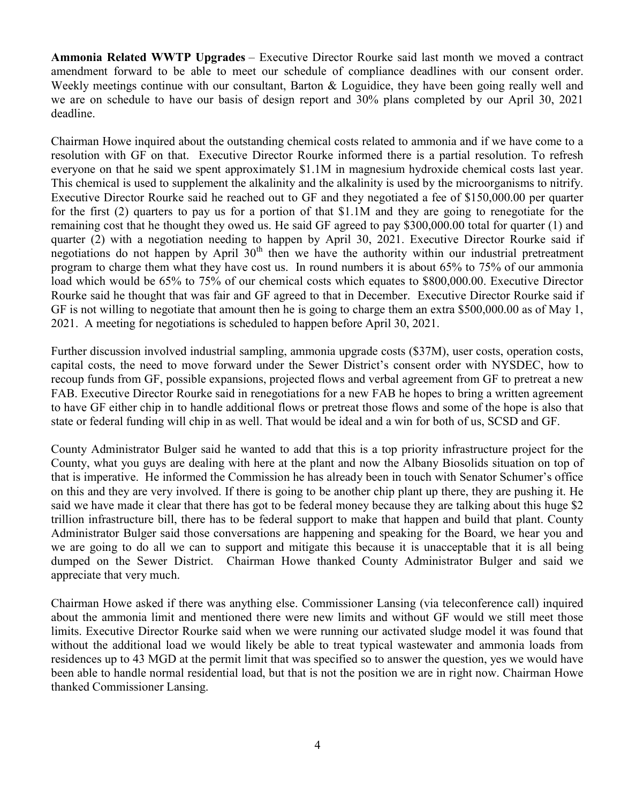Ammonia Related WWTP Upgrades – Executive Director Rourke said last month we moved a contract amendment forward to be able to meet our schedule of compliance deadlines with our consent order. Weekly meetings continue with our consultant, Barton & Loguidice, they have been going really well and we are on schedule to have our basis of design report and 30% plans completed by our April 30, 2021 deadline.

Chairman Howe inquired about the outstanding chemical costs related to ammonia and if we have come to a resolution with GF on that. Executive Director Rourke informed there is a partial resolution. To refresh everyone on that he said we spent approximately \$1.1M in magnesium hydroxide chemical costs last year. This chemical is used to supplement the alkalinity and the alkalinity is used by the microorganisms to nitrify. Executive Director Rourke said he reached out to GF and they negotiated a fee of \$150,000.00 per quarter for the first (2) quarters to pay us for a portion of that \$1.1M and they are going to renegotiate for the remaining cost that he thought they owed us. He said GF agreed to pay \$300,000.00 total for quarter (1) and quarter (2) with a negotiation needing to happen by April 30, 2021. Executive Director Rourke said if negotiations do not happen by April  $30<sup>th</sup>$  then we have the authority within our industrial pretreatment program to charge them what they have cost us. In round numbers it is about 65% to 75% of our ammonia load which would be 65% to 75% of our chemical costs which equates to \$800,000.00. Executive Director Rourke said he thought that was fair and GF agreed to that in December. Executive Director Rourke said if GF is not willing to negotiate that amount then he is going to charge them an extra \$500,000.00 as of May 1, 2021. A meeting for negotiations is scheduled to happen before April 30, 2021.

Further discussion involved industrial sampling, ammonia upgrade costs (\$37M), user costs, operation costs, capital costs, the need to move forward under the Sewer District's consent order with NYSDEC, how to recoup funds from GF, possible expansions, projected flows and verbal agreement from GF to pretreat a new FAB. Executive Director Rourke said in renegotiations for a new FAB he hopes to bring a written agreement to have GF either chip in to handle additional flows or pretreat those flows and some of the hope is also that state or federal funding will chip in as well. That would be ideal and a win for both of us, SCSD and GF.

County Administrator Bulger said he wanted to add that this is a top priority infrastructure project for the County, what you guys are dealing with here at the plant and now the Albany Biosolids situation on top of that is imperative. He informed the Commission he has already been in touch with Senator Schumer's office on this and they are very involved. If there is going to be another chip plant up there, they are pushing it. He said we have made it clear that there has got to be federal money because they are talking about this huge \$2 trillion infrastructure bill, there has to be federal support to make that happen and build that plant. County Administrator Bulger said those conversations are happening and speaking for the Board, we hear you and we are going to do all we can to support and mitigate this because it is unacceptable that it is all being dumped on the Sewer District. Chairman Howe thanked County Administrator Bulger and said we appreciate that very much.

Chairman Howe asked if there was anything else. Commissioner Lansing (via teleconference call) inquired about the ammonia limit and mentioned there were new limits and without GF would we still meet those limits. Executive Director Rourke said when we were running our activated sludge model it was found that without the additional load we would likely be able to treat typical wastewater and ammonia loads from residences up to 43 MGD at the permit limit that was specified so to answer the question, yes we would have been able to handle normal residential load, but that is not the position we are in right now. Chairman Howe thanked Commissioner Lansing.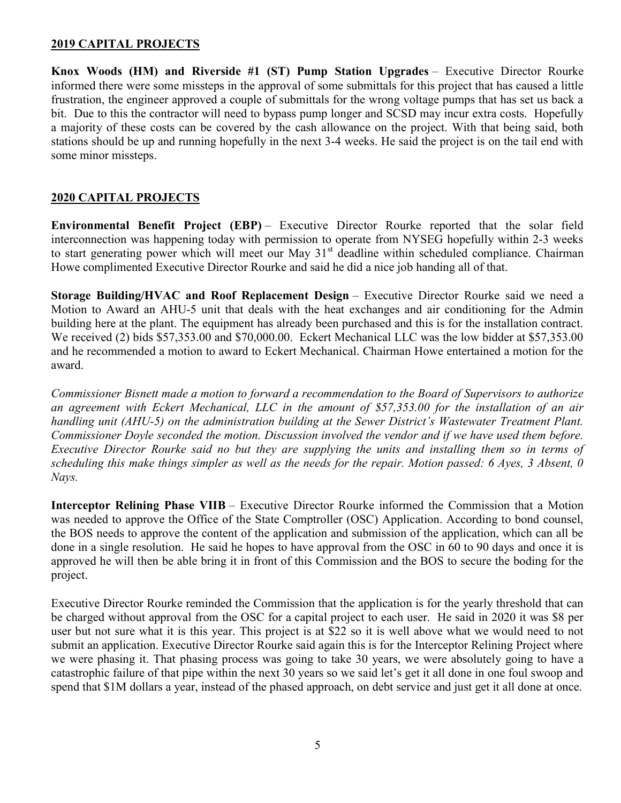## 2019 CAPITAL PROJECTS

Knox Woods (HM) and Riverside #1 (ST) Pump Station Upgrades – Executive Director Rourke informed there were some missteps in the approval of some submittals for this project that has caused a little frustration, the engineer approved a couple of submittals for the wrong voltage pumps that has set us back a bit. Due to this the contractor will need to bypass pump longer and SCSD may incur extra costs. Hopefully a majority of these costs can be covered by the cash allowance on the project. With that being said, both stations should be up and running hopefully in the next 3-4 weeks. He said the project is on the tail end with some minor missteps.

## 2020 CAPITAL PROJECTS

Environmental Benefit Project (EBP) – Executive Director Rourke reported that the solar field interconnection was happening today with permission to operate from NYSEG hopefully within 2-3 weeks to start generating power which will meet our May  $31<sup>st</sup>$  deadline within scheduled compliance. Chairman Howe complimented Executive Director Rourke and said he did a nice job handing all of that.

Storage Building/HVAC and Roof Replacement Design – Executive Director Rourke said we need a Motion to Award an AHU-5 unit that deals with the heat exchanges and air conditioning for the Admin building here at the plant. The equipment has already been purchased and this is for the installation contract. We received (2) bids \$57,353.00 and \$70,000.00. Eckert Mechanical LLC was the low bidder at \$57,353.00 and he recommended a motion to award to Eckert Mechanical. Chairman Howe entertained a motion for the award.

Commissioner Bisnett made a motion to forward a recommendation to the Board of Supervisors to authorize an agreement with Eckert Mechanical, LLC in the amount of \$57,353.00 for the installation of an air handling unit (AHU-5) on the administration building at the Sewer District's Wastewater Treatment Plant. Commissioner Doyle seconded the motion. Discussion involved the vendor and if we have used them before. Executive Director Rourke said no but they are supplying the units and installing them so in terms of scheduling this make things simpler as well as the needs for the repair. Motion passed: 6 Ayes, 3 Absent, 0 Nays.

Interceptor Relining Phase VIIB – Executive Director Rourke informed the Commission that a Motion was needed to approve the Office of the State Comptroller (OSC) Application. According to bond counsel, the BOS needs to approve the content of the application and submission of the application, which can all be done in a single resolution. He said he hopes to have approval from the OSC in 60 to 90 days and once it is approved he will then be able bring it in front of this Commission and the BOS to secure the boding for the project.

Executive Director Rourke reminded the Commission that the application is for the yearly threshold that can be charged without approval from the OSC for a capital project to each user. He said in 2020 it was \$8 per user but not sure what it is this year. This project is at \$22 so it is well above what we would need to not submit an application. Executive Director Rourke said again this is for the Interceptor Relining Project where we were phasing it. That phasing process was going to take 30 years, we were absolutely going to have a catastrophic failure of that pipe within the next 30 years so we said let's get it all done in one foul swoop and spend that \$1M dollars a year, instead of the phased approach, on debt service and just get it all done at once.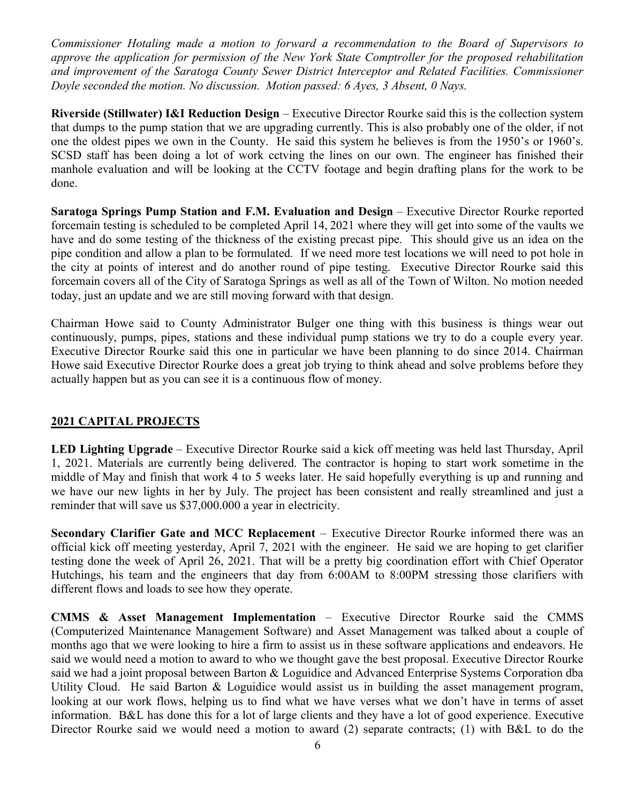Commissioner Hotaling made a motion to forward a recommendation to the Board of Supervisors to approve the application for permission of the New York State Comptroller for the proposed rehabilitation and improvement of the Saratoga County Sewer District Interceptor and Related Facilities. Commissioner Doyle seconded the motion. No discussion. Motion passed: 6 Ayes, 3 Absent, 0 Nays.

Riverside (Stillwater) I&I Reduction Design – Executive Director Rourke said this is the collection system that dumps to the pump station that we are upgrading currently. This is also probably one of the older, if not one the oldest pipes we own in the County. He said this system he believes is from the 1950's or 1960's. SCSD staff has been doing a lot of work cctving the lines on our own. The engineer has finished their manhole evaluation and will be looking at the CCTV footage and begin drafting plans for the work to be done.

Saratoga Springs Pump Station and F.M. Evaluation and Design – Executive Director Rourke reported forcemain testing is scheduled to be completed April 14, 2021 where they will get into some of the vaults we have and do some testing of the thickness of the existing precast pipe. This should give us an idea on the pipe condition and allow a plan to be formulated. If we need more test locations we will need to pot hole in the city at points of interest and do another round of pipe testing. Executive Director Rourke said this forcemain covers all of the City of Saratoga Springs as well as all of the Town of Wilton. No motion needed today, just an update and we are still moving forward with that design.

Chairman Howe said to County Administrator Bulger one thing with this business is things wear out continuously, pumps, pipes, stations and these individual pump stations we try to do a couple every year. Executive Director Rourke said this one in particular we have been planning to do since 2014. Chairman Howe said Executive Director Rourke does a great job trying to think ahead and solve problems before they actually happen but as you can see it is a continuous flow of money.

### 2021 CAPITAL PROJECTS

LED Lighting Upgrade – Executive Director Rourke said a kick off meeting was held last Thursday, April 1, 2021. Materials are currently being delivered. The contractor is hoping to start work sometime in the middle of May and finish that work 4 to 5 weeks later. He said hopefully everything is up and running and we have our new lights in her by July. The project has been consistent and really streamlined and just a reminder that will save us \$37,000.000 a year in electricity.

Secondary Clarifier Gate and MCC Replacement – Executive Director Rourke informed there was an official kick off meeting yesterday, April 7, 2021 with the engineer. He said we are hoping to get clarifier testing done the week of April 26, 2021. That will be a pretty big coordination effort with Chief Operator Hutchings, his team and the engineers that day from 6:00AM to 8:00PM stressing those clarifiers with different flows and loads to see how they operate.

CMMS & Asset Management Implementation – Executive Director Rourke said the CMMS (Computerized Maintenance Management Software) and Asset Management was talked about a couple of months ago that we were looking to hire a firm to assist us in these software applications and endeavors. He said we would need a motion to award to who we thought gave the best proposal. Executive Director Rourke said we had a joint proposal between Barton & Loguidice and Advanced Enterprise Systems Corporation dba Utility Cloud. He said Barton & Loguidice would assist us in building the asset management program, looking at our work flows, helping us to find what we have verses what we don't have in terms of asset information. B&L has done this for a lot of large clients and they have a lot of good experience. Executive Director Rourke said we would need a motion to award (2) separate contracts; (1) with B&L to do the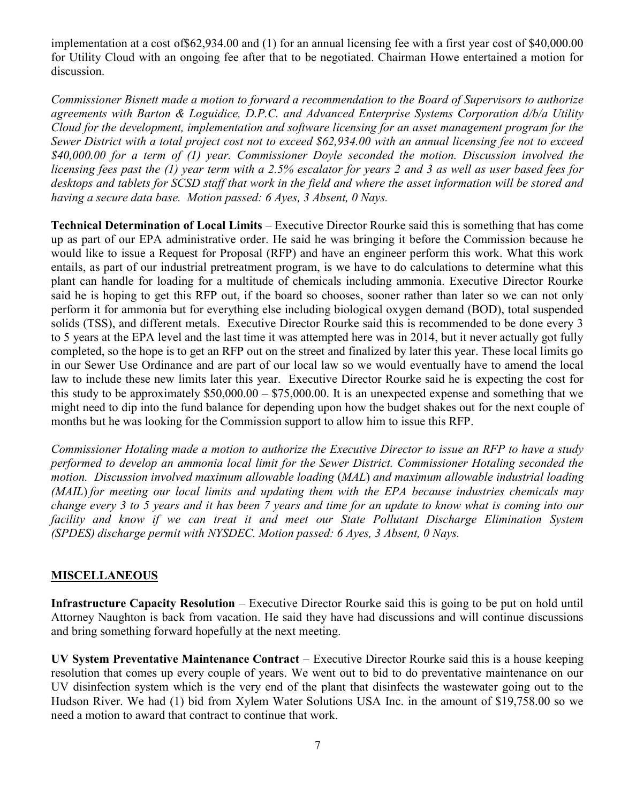implementation at a cost of\$62,934.00 and (1) for an annual licensing fee with a first year cost of \$40,000.00 for Utility Cloud with an ongoing fee after that to be negotiated. Chairman Howe entertained a motion for discussion.

Commissioner Bisnett made a motion to forward a recommendation to the Board of Supervisors to authorize agreements with Barton & Loguidice, D.P.C. and Advanced Enterprise Systems Corporation d/b/a Utility Cloud for the development, implementation and software licensing for an asset management program for the Sewer District with a total project cost not to exceed \$62,934.00 with an annual licensing fee not to exceed \$40,000.00 for a term of (1) year. Commissioner Doyle seconded the motion. Discussion involved the licensing fees past the (1) year term with a 2.5% escalator for years 2 and 3 as well as user based fees for desktops and tablets for SCSD staff that work in the field and where the asset information will be stored and having a secure data base. Motion passed: 6 Ayes, 3 Absent, 0 Nays.

Technical Determination of Local Limits – Executive Director Rourke said this is something that has come up as part of our EPA administrative order. He said he was bringing it before the Commission because he would like to issue a Request for Proposal (RFP) and have an engineer perform this work. What this work entails, as part of our industrial pretreatment program, is we have to do calculations to determine what this plant can handle for loading for a multitude of chemicals including ammonia. Executive Director Rourke said he is hoping to get this RFP out, if the board so chooses, sooner rather than later so we can not only perform it for ammonia but for everything else including biological oxygen demand (BOD), total suspended solids (TSS), and different metals. Executive Director Rourke said this is recommended to be done every 3 to 5 years at the EPA level and the last time it was attempted here was in 2014, but it never actually got fully completed, so the hope is to get an RFP out on the street and finalized by later this year. These local limits go in our Sewer Use Ordinance and are part of our local law so we would eventually have to amend the local law to include these new limits later this year. Executive Director Rourke said he is expecting the cost for this study to be approximately  $$50,000.00 - $75,000.00$ . It is an unexpected expense and something that we might need to dip into the fund balance for depending upon how the budget shakes out for the next couple of months but he was looking for the Commission support to allow him to issue this RFP.

Commissioner Hotaling made a motion to authorize the Executive Director to issue an RFP to have a study performed to develop an ammonia local limit for the Sewer District. Commissioner Hotaling seconded the motion. Discussion involved maximum allowable loading (MAL) and maximum allowable industrial loading (MAIL) for meeting our local limits and updating them with the EPA because industries chemicals may change every 3 to 5 years and it has been 7 years and time for an update to know what is coming into our facility and know if we can treat it and meet our State Pollutant Discharge Elimination System (SPDES) discharge permit with NYSDEC. Motion passed: 6 Ayes, 3 Absent, 0 Nays.

## **MISCELLANEOUS**

Infrastructure Capacity Resolution – Executive Director Rourke said this is going to be put on hold until Attorney Naughton is back from vacation. He said they have had discussions and will continue discussions and bring something forward hopefully at the next meeting.

UV System Preventative Maintenance Contract – Executive Director Rourke said this is a house keeping resolution that comes up every couple of years. We went out to bid to do preventative maintenance on our UV disinfection system which is the very end of the plant that disinfects the wastewater going out to the Hudson River. We had (1) bid from Xylem Water Solutions USA Inc. in the amount of \$19,758.00 so we need a motion to award that contract to continue that work.